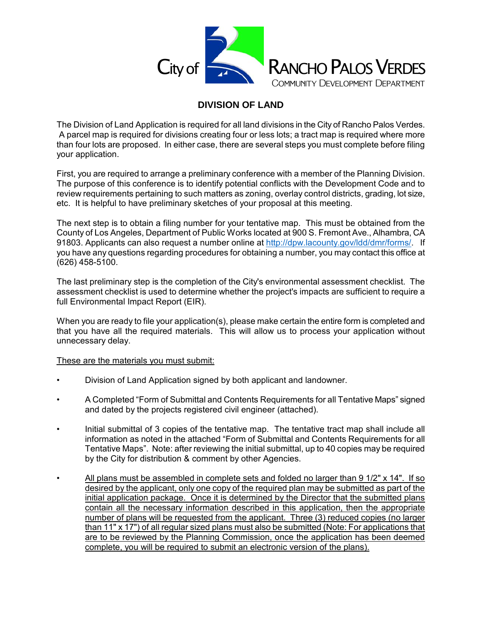

# **DIVISION OF LAND**

The Division of Land Application is required for all land divisions in the City of Rancho Palos Verdes. A parcel map is required for divisions creating four or less lots; a tract map is required where more than four lots are proposed. In either case, there are several steps you must complete before filing your application.

First, you are required to arrange a preliminary conference with a member of the Planning Division. The purpose of this conference is to identify potential conflicts with the Development Code and to review requirements pertaining to such matters as zoning, overlay control districts, grading, lot size, etc. It is helpful to have preliminary sketches of your proposal at this meeting.

The next step is to obtain a filing number for your tentative map. This must be obtained from the County of Los Angeles, Department of Public Works located at 900 S. Fremont Ave., Alhambra, CA 91803. Applicants can also request a number online at [http://dpw.lacounty.gov/ldd/dmr/forms/.](http://dpw.lacounty.gov/ldd/dmr/forms/) If you have any questions regarding procedures for obtaining a number, you may contact this office at (626) 458-5100.

The last preliminary step is the completion of the City's environmental assessment checklist. The assessment checklist is used to determine whether the project's impacts are sufficient to require a full Environmental Impact Report (EIR).

When you are ready to file your application(s), please make certain the entire form is completed and that you have all the required materials. This will allow us to process your application without unnecessary delay.

### These are the materials you must submit:

- Division of Land Application signed by both applicant and landowner.
- A Completed "Form of Submittal and Contents Requirements for all Tentative Maps" signed and dated by the projects registered civil engineer (attached).
- Initial submittal of 3 copies of the tentative map. The tentative tract map shall include all information as noted in the attached "Form of Submittal and Contents Requirements for all Tentative Maps". Note: after reviewing the initial submittal, up to 40 copies may be required by the City for distribution & comment by other Agencies.
- All plans must be assembled in complete sets and folded no larger than 9 1/2" x 14". If so desired by the applicant, only one copy of the required plan may be submitted as part of the initial application package. Once it is determined by the Director that the submitted plans contain all the necessary information described in this application, then the appropriate number of plans will be requested from the applicant. Three (3) reduced copies (no larger than 11" x 17") of all regular sized plans must also be submitted (Note: For applications that are to be reviewed by the Planning Commission, once the application has been deemed complete, you will be required to submit an electronic version of the plans).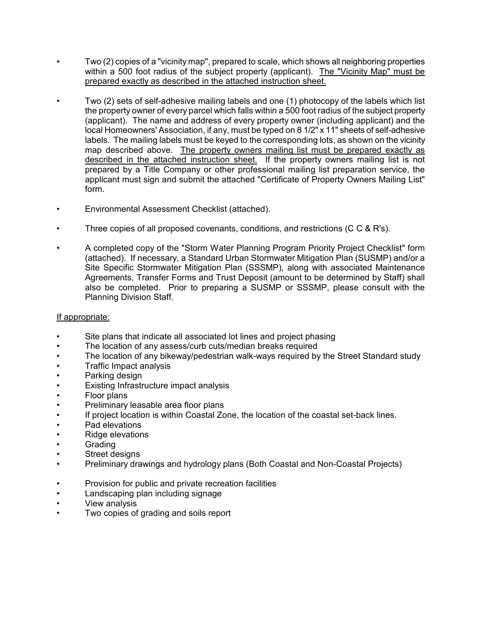- Two (2) copies of a "vicinity map", prepared to scale, which shows all neighboring properties within a 500 foot radius of the subject property (applicant). The "Vicinity Map" must be prepared exactly as described in the attached instruction sheet.
- Two (2) sets of self-adhesive mailing labels and one (1) photocopy of the labels which list the property owner of every parcel which falls within a 500 foot radius of the subject property (applicant). The name and address of every property owner (including applicant) and the local Homeowners' Association, if any, must be typed on 8 1/2" x 11" sheets of self-adhesive labels. The mailing labels must be keyed to the corresponding lots, as shown on the vicinity map described above. The property owners mailing list must be prepared exactly as described in the attached instruction sheet. If the property owners mailing list is not prepared by a Title Company or other professional mailing list preparation service, the applicant must sign and submit the attached "Certificate of Property Owners Mailing List" form.
- Environmental Assessment Checklist (attached).
- Three copies of all proposed covenants, conditions, and restrictions (C C & R's).
- A completed copy of the "Storm Water Planning Program Priority Project Checklist" form (attached). If necessary, a Standard Urban Stormwater Mitigation Plan (SUSMP) and/or a Site Specific Stormwater Mitigation Plan (SSSMP), along with associated Maintenance Agreements, Transfer Forms and Trust Deposit (amount to be determined by Staff) shall also be completed. Prior to preparing a SUSMP or SSSMP, please consult with the Planning Division Staff.

#### If appropriate:

- Site plans that indicate all associated lot lines and project phasing
- The location of any assess/curb cuts/median breaks required
- The location of any bikeway/pedestrian walk-ways required by the Street Standard study
- Traffic Impact analysis
- Parking design
- Existing Infrastructure impact analysis
- Floor plans
- Preliminary leasable area floor plans
- If project location is within Coastal Zone, the location of the coastal set-back lines.
- Pad elevations
- Ridge elevations
- **Grading**
- Street designs
- Preliminary drawings and hydrology plans (Both Coastal and Non-Coastal Projects)
- Provision for public and private recreation facilities
- Landscaping plan including signage
- View analysis
- Two copies of grading and soils report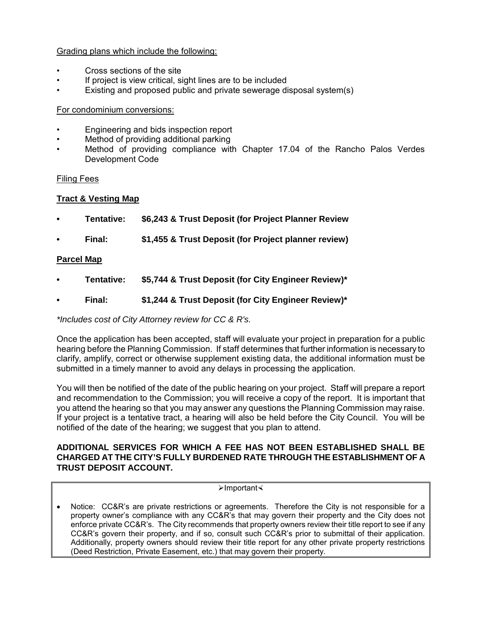### Grading plans which include the following:

- Cross sections of the site
- If project is view critical, sight lines are to be included
- Existing and proposed public and private sewerage disposal system(s)

### For condominium conversions:

- Engineering and bids inspection report
- Method of providing additional parking
- Method of providing compliance with Chapter 17.04 of the Rancho Palos Verdes Development Code

# Filing Fees

# **Tract & Vesting Map**

- **Tentative: \$6,243 & Trust Deposit (for Project Planner Review**
- **Final: \$1,455 & Trust Deposit (for Project planner review)**

# **Parcel Map**

- **Tentative: \$5,744 & Trust Deposit (for City Engineer Review)\***
- **Final: \$1,244 & Trust Deposit (for City Engineer Review)\***

*\*Includes cost of City Attorney review for CC & R's.*

Once the application has been accepted, staff will evaluate your project in preparation for a public hearing before the Planning Commission. If staff determines that further information is necessary to clarify, amplify, correct or otherwise supplement existing data, the additional information must be submitted in a timely manner to avoid any delays in processing the application.

You will then be notified of the date of the public hearing on your project. Staff will prepare a report and recommendation to the Commission; you will receive a copy of the report. It is important that you attend the hearing so that you may answer any questions the Planning Commission may raise. If your project is a tentative tract, a hearing will also be held before the City Council. You will be notified of the date of the hearing; we suggest that you plan to attend.

#### **ADDITIONAL SERVICES FOR WHICH A FEE HAS NOT BEEN ESTABLISHED SHALL BE CHARGED AT THE CITY'S FULLY BURDENED RATE THROUGH THE ESTABLISHMENT OF A TRUST DEPOSIT ACCOUNT.**

#### $\blacktriangleright$ Important $\blacktriangleleft$

Notice: CC&R's are private restrictions or agreements. Therefore the City is not responsible for a property owner's compliance with any CC&R's that may govern their property and the City does not enforce private CC&R's. The City recommends that property owners review their title report to see if any CC&R's govern their property, and if so, consult such CC&R's prior to submittal of their application. Additionally, property owners should review their title report for any other private property restrictions (Deed Restriction, Private Easement, etc.) that may govern their property.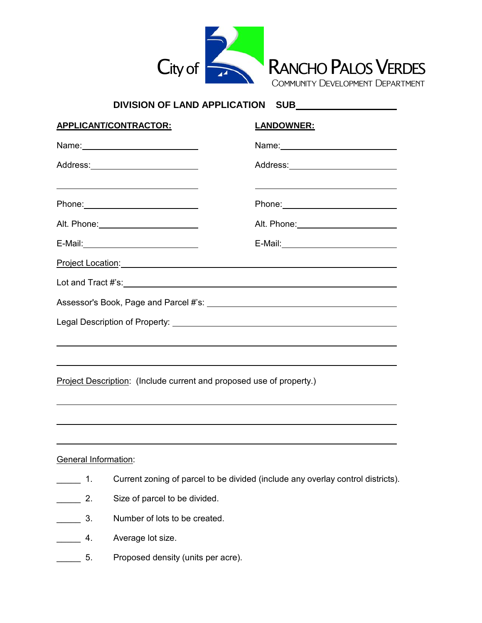

# **DIVISION OF LAND APPLICATION SUB**

| APPLICANT/CONTRACTOR:                                                                                                                                                                                                                                                                                                                                  | <b>LANDOWNER:</b>                                                                                                                                                                                                              |
|--------------------------------------------------------------------------------------------------------------------------------------------------------------------------------------------------------------------------------------------------------------------------------------------------------------------------------------------------------|--------------------------------------------------------------------------------------------------------------------------------------------------------------------------------------------------------------------------------|
|                                                                                                                                                                                                                                                                                                                                                        |                                                                                                                                                                                                                                |
|                                                                                                                                                                                                                                                                                                                                                        | Address: ___________________________                                                                                                                                                                                           |
| <u> Alexandria de la contrada de la contrada de la contrada de la contrada de la contrada de la contrada de la c</u><br>Phone: 2000 Phone: 2000 Phone: 2000 Phone: 2000 Phone: 2000 Phone: 2000 Phone: 2000 Phone: 2000 Phone: 2000 Phone: 2000 Phone: 2000 Phone: 2000 Phone: 2000 Phone: 2000 Phone: 2000 Phone: 2000 Phone: 2000 Phone: 2000 Phone: | Phone: 2000 Phone: 2000 Phone: 2000 Phone: 2000 Phone: 2000 Phone: 2000 Phone: 2000 Phone: 2000 Phone: 2000 Phone: 2000 Phone: 2000 Phone: 2000 Phone: 2000 Phone: 2000 Phone: 2000 Phone: 2000 Phone: 2000 Phone: 2000 Phone: |
|                                                                                                                                                                                                                                                                                                                                                        | Alt. Phone: 2000 2010 2020 2020 2020 2021 2022 2022 2022 2022 2021 2022 2022 2022 2022 2022 2022 2023 2024 20                                                                                                                  |
|                                                                                                                                                                                                                                                                                                                                                        |                                                                                                                                                                                                                                |
| Project Location: Note of the Contract of the Contract of the Contract of the Contract of the Contract of the Contract of the Contract of the Contract of the Contract of the Contract of the Contract of the Contract of the                                                                                                                          |                                                                                                                                                                                                                                |
|                                                                                                                                                                                                                                                                                                                                                        |                                                                                                                                                                                                                                |
|                                                                                                                                                                                                                                                                                                                                                        |                                                                                                                                                                                                                                |
|                                                                                                                                                                                                                                                                                                                                                        |                                                                                                                                                                                                                                |
| <u> 1999 - Andrea Santa Andrea Santa Andrea Santa Andrea Santa Andrea Santa Andrea Santa Andrea Santa Andrea San</u>                                                                                                                                                                                                                                   |                                                                                                                                                                                                                                |
|                                                                                                                                                                                                                                                                                                                                                        | ,我们也不会有什么。""我们的人,我们也不会有什么?""我们的人,我们也不会有什么?""我们的人,我们也不会有什么?""我们的人,我们也不会有什么?""我们的人                                                                                                                                               |
| Project Description: (Include current and proposed use of property.)                                                                                                                                                                                                                                                                                   |                                                                                                                                                                                                                                |

#### General Information:

- 1. Current zoning of parcel to be divided (include any overlay control districts).
- **2.** Size of parcel to be divided.
- **120.** 3. Number of lots to be created.
- **EXECUTE:** 4. Average lot size.
- 5. Proposed density (units per acre).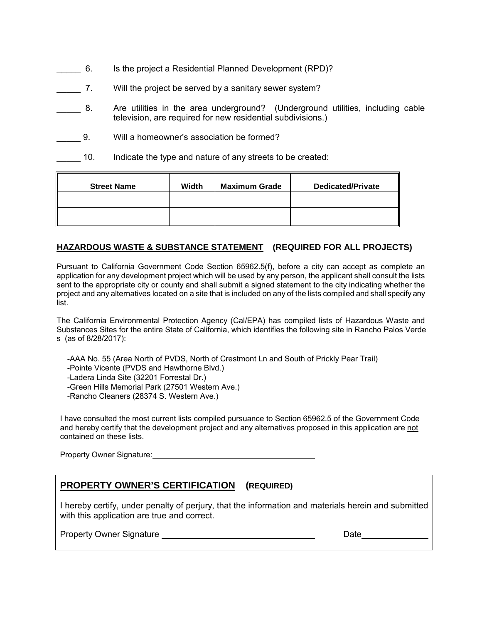- \_\_\_\_\_ 6. Is the project a Residential Planned Development (RPD)?
- \_\_\_\_\_ 7. Will the project be served by a sanitary sewer system?
- \_\_\_\_\_ 8. Are utilities in the area underground? (Underground utilities, including cable television, are required for new residential subdivisions.)
- \_\_\_\_\_ 9. Will a homeowner's association be formed?
- 10. Indicate the type and nature of any streets to be created:

| <b>Street Name</b> | Width | <b>Maximum Grade</b> | <b>Dedicated/Private</b> |
|--------------------|-------|----------------------|--------------------------|
|                    |       |                      |                          |
|                    |       |                      |                          |

#### **HAZARDOUS WASTE & SUBSTANCE STATEMENT (REQUIRED FOR ALL PROJECTS)**

Pursuant to California Government Code Section 65962.5(f), before a city can accept as complete an application for any development project which will be used by any person, the applicant shall consult the lists sent to the appropriate city or county and shall submit a signed statement to the city indicating whether the project and any alternatives located on a site that is included on any of the lists compiled and shall specify any list.

The California Environmental Protection Agency (Cal/EPA) has compiled lists of Hazardous Waste and Substances Sites for the entire State of California, which identifies the following site in Rancho Palos Verde s (as of 8/28/2017):

- -AAA No. 55 (Area North of PVDS, North of Crestmont Ln and South of Prickly Pear Trail) -Pointe Vicente (PVDS and Hawthorne Blvd.) -Ladera Linda Site (32201 Forrestal Dr.)
- -Green Hills Memorial Park (27501 Western Ave.)
- -Rancho Cleaners (28374 S. Western Ave.)

I have consulted the most current lists compiled pursuance to Section 65962.5 of the Government Code and hereby certify that the development project and any alternatives proposed in this application are not contained on these lists.

Property Owner Signature: **Example 2018** 

# **PROPERTY OWNER'S CERTIFICATION (REQUIRED)**

I hereby certify, under penalty of perjury, that the information and materials herein and submitted with this application are true and correct.

Property Owner Signature Date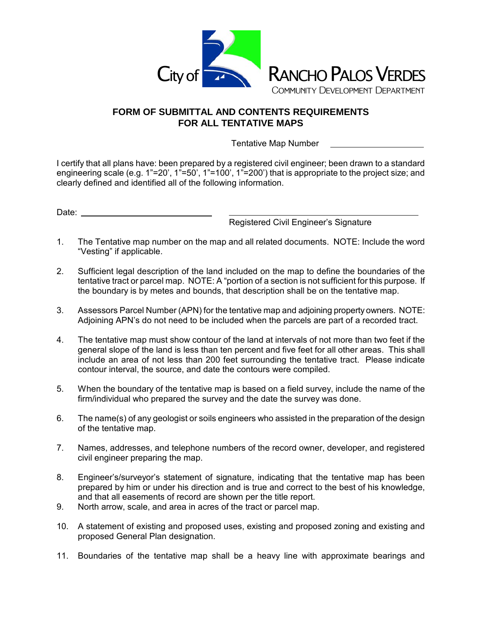

# **FORM OF SUBMITTAL AND CONTENTS REQUIREMENTS FOR ALL TENTATIVE MAPS**

Tentative Map Number

I certify that all plans have: been prepared by a registered civil engineer; been drawn to a standard engineering scale (e.g. 1"=20', 1"=50', 1"=100', 1"=200') that is appropriate to the project size; and clearly defined and identified all of the following information.

Date:

Registered Civil Engineer's Signature

- 1. The Tentative map number on the map and all related documents. NOTE: Include the word "Vesting" if applicable.
- 2. Sufficient legal description of the land included on the map to define the boundaries of the tentative tract or parcel map. NOTE: A "portion of a section is not sufficient for this purpose. If the boundary is by metes and bounds, that description shall be on the tentative map.
- 3. Assessors Parcel Number (APN) for the tentative map and adjoining property owners. NOTE: Adjoining APN's do not need to be included when the parcels are part of a recorded tract.
- 4. The tentative map must show contour of the land at intervals of not more than two feet if the general slope of the land is less than ten percent and five feet for all other areas. This shall include an area of not less than 200 feet surrounding the tentative tract. Please indicate contour interval, the source, and date the contours were compiled.
- 5. When the boundary of the tentative map is based on a field survey, include the name of the firm/individual who prepared the survey and the date the survey was done.
- 6. The name(s) of any geologist or soils engineers who assisted in the preparation of the design of the tentative map.
- 7. Names, addresses, and telephone numbers of the record owner, developer, and registered civil engineer preparing the map.
- 8. Engineer's/surveyor's statement of signature, indicating that the tentative map has been prepared by him or under his direction and is true and correct to the best of his knowledge, and that all easements of record are shown per the title report.
- 9. North arrow, scale, and area in acres of the tract or parcel map.
- 10. A statement of existing and proposed uses, existing and proposed zoning and existing and proposed General Plan designation.
- 11. Boundaries of the tentative map shall be a heavy line with approximate bearings and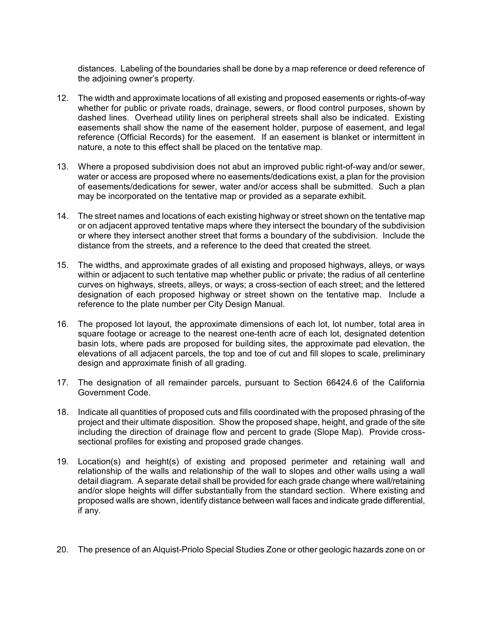distances. Labeling of the boundaries shall be done by a map reference or deed reference of the adjoining owner's property.

- 12. The width and approximate locations of all existing and proposed easements or rights-of-way whether for public or private roads, drainage, sewers, or flood control purposes, shown by dashed lines. Overhead utility lines on peripheral streets shall also be indicated. Existing easements shall show the name of the easement holder, purpose of easement, and legal reference (Official Records) for the easement. If an easement is blanket or intermittent in nature, a note to this effect shall be placed on the tentative map.
- 13. Where a proposed subdivision does not abut an improved public right-of-way and/or sewer, water or access are proposed where no easements/dedications exist, a plan for the provision of easements/dedications for sewer, water and/or access shall be submitted. Such a plan may be incorporated on the tentative map or provided as a separate exhibit.
- 14. The street names and locations of each existing highway or street shown on the tentative map or on adjacent approved tentative maps where they intersect the boundary of the subdivision or where they intersect another street that forms a boundary of the subdivision. Include the distance from the streets, and a reference to the deed that created the street.
- 15. The widths, and approximate grades of all existing and proposed highways, alleys, or ways within or adjacent to such tentative map whether public or private; the radius of all centerline curves on highways, streets, alleys, or ways; a cross-section of each street; and the lettered designation of each proposed highway or street shown on the tentative map. Include a reference to the plate number per City Design Manual.
- 16. The proposed lot layout, the approximate dimensions of each lot, lot number, total area in square footage or acreage to the nearest one-tenth acre of each lot, designated detention basin lots, where pads are proposed for building sites, the approximate pad elevation, the elevations of all adjacent parcels, the top and toe of cut and fill slopes to scale, preliminary design and approximate finish of all grading.
- 17. The designation of all remainder parcels, pursuant to Section 66424.6 of the California Government Code.
- 18. Indicate all quantities of proposed cuts and fills coordinated with the proposed phrasing of the project and their ultimate disposition. Show the proposed shape, height, and grade of the site including the direction of drainage flow and percent to grade (Slope Map). Provide crosssectional profiles for existing and proposed grade changes.
- 19. Location(s) and height(s) of existing and proposed perimeter and retaining wall and relationship of the walls and relationship of the wall to slopes and other walls using a wall detail diagram. A separate detail shall be provided for each grade change where wall/retaining and/or slope heights will differ substantially from the standard section. Where existing and proposed walls are shown, identify distance between wall faces and indicate grade differential, if any.
- 20. The presence of an Alquist-Priolo Special Studies Zone or other geologic hazards zone on or